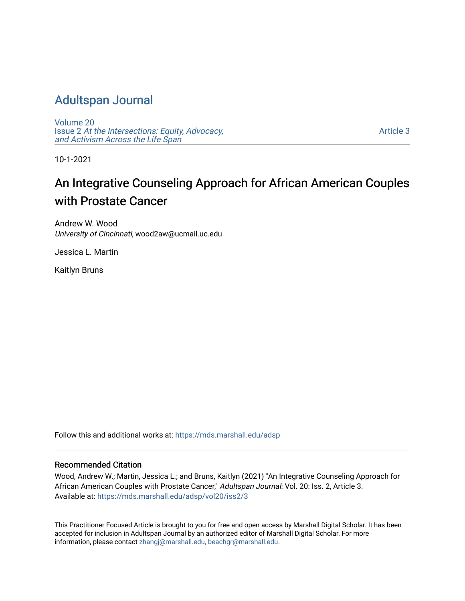### [Adultspan Journal](https://mds.marshall.edu/adsp)

[Volume 20](https://mds.marshall.edu/adsp/vol20) Issue 2 [At the Intersections: Equity, Advocacy,](https://mds.marshall.edu/adsp/vol20/iss2) [and Activism Across the Life Span](https://mds.marshall.edu/adsp/vol20/iss2) 

[Article 3](https://mds.marshall.edu/adsp/vol20/iss2/3) 

10-1-2021

## An Integrative Counseling Approach for African American Couples with Prostate Cancer

Andrew W. Wood University of Cincinnati, wood2aw@ucmail.uc.edu

Jessica L. Martin

Kaitlyn Bruns

Follow this and additional works at: [https://mds.marshall.edu/adsp](https://mds.marshall.edu/adsp?utm_source=mds.marshall.edu%2Fadsp%2Fvol20%2Fiss2%2F3&utm_medium=PDF&utm_campaign=PDFCoverPages) 

#### Recommended Citation

Wood, Andrew W.; Martin, Jessica L.; and Bruns, Kaitlyn (2021) "An Integrative Counseling Approach for African American Couples with Prostate Cancer," Adultspan Journal: Vol. 20: Iss. 2, Article 3. Available at: [https://mds.marshall.edu/adsp/vol20/iss2/3](https://mds.marshall.edu/adsp/vol20/iss2/3?utm_source=mds.marshall.edu%2Fadsp%2Fvol20%2Fiss2%2F3&utm_medium=PDF&utm_campaign=PDFCoverPages) 

This Practitioner Focused Article is brought to you for free and open access by Marshall Digital Scholar. It has been accepted for inclusion in Adultspan Journal by an authorized editor of Marshall Digital Scholar. For more information, please contact [zhangj@marshall.edu, beachgr@marshall.edu](mailto:zhangj@marshall.edu,%20beachgr@marshall.edu).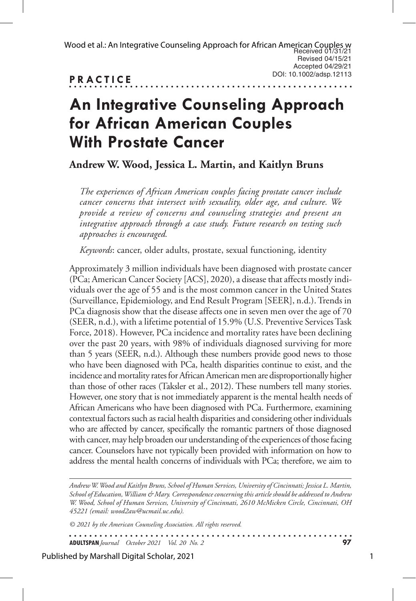# **An Integrative Counseling Approach for African American Couples With Prostate Cancer**

**Andrew W. Wood, Jessica L. Martin, and Kaitlyn Bruns**

*The experiences of African American couples facing prostate cancer include cancer concerns that intersect with sexuality, older age, and culture. We provide a review of concerns and counseling strategies and present an integrative approach through a case study. Future research on testing such approaches is encouraged.*

*Keywords*: cancer, older adults, prostate, sexual functioning, identity

Approximately 3 million individuals have been diagnosed with prostate cancer (PCa; American Cancer Society [ACS], 2020), a disease that affects mostly individuals over the age of 55 and is the most common cancer in the United States (Surveillance, Epidemiology, and End Result Program [SEER], n.d.). Trends in PCa diagnosis show that the disease affects one in seven men over the age of 70 (SEER, n.d.), with a lifetime potential of 15.9% (U.S. Preventive Services Task Force, 2018). However, PCa incidence and mortality rates have been declining over the past 20 years, with 98% of individuals diagnosed surviving for more than 5 years (SEER, n.d.). Although these numbers provide good news to those who have been diagnosed with PCa, health disparities continue to exist, and the incidence and mortality rates for African American men are disproportionally higher than those of other races (Taksler et al., 2012). These numbers tell many stories. However, one story that is not immediately apparent is the mental health needs of African Americans who have been diagnosed with PCa. Furthermore, examining contextual factors such as racial health disparities and considering other individuals who are affected by cancer, specifically the romantic partners of those diagnosed with cancer, may help broaden our understanding of the experiences of those facing cancer. Counselors have not typically been provided with information on how to address the mental health concerns of individuals with PCa; therefore, we aim to

*Andrew W. Wood and Kaitlyn Bruns, School of Human Services, University of Cincinnati; Jessica L. Martin, School of Education, William & Mary. Correspondence concerning this article should be addressed to Andrew W. Wood, School of Human Services, University of Cincinnati, 2610 McMicken Circle, Cincinnati, OH 45221 (email: wood2aw@ucmail.uc.edu).* 

*© 2021 by the American Counseling Association. All rights reserved.*

. . . . . . . . . . . . . . . . . . **ADULTSPAN***Journal October 2021 Vol. 20 No. 2* **97**

#### Published by Marshall Digital Scholar, 2021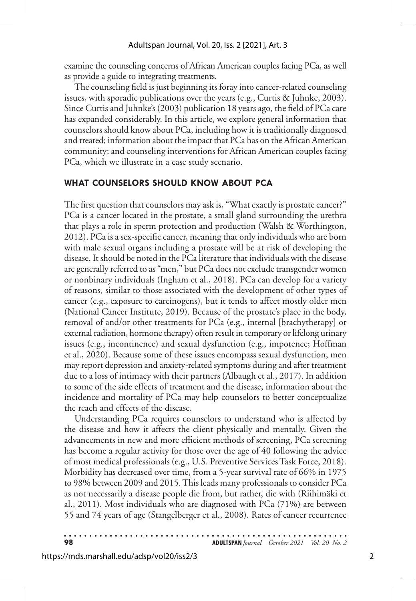examine the counseling concerns of African American couples facing PCa, as well as provide a guide to integrating treatments.

The counseling field is just beginning its foray into cancer-related counseling issues, with sporadic publications over the years (e.g., Curtis & Juhnke, 2003). Since Curtis and Juhnke's (2003) publication 18 years ago, the field of PCa care has expanded considerably. In this article, we explore general information that counselors should know about PCa, including how it is traditionally diagnosed and treated; information about the impact that PCa has on the African American community; and counseling interventions for African American couples facing PCa, which we illustrate in a case study scenario.

#### **WHAT COUNSELORS SHOULD KNOW ABOUT PCA**

The first question that counselors may ask is, "What exactly is prostate cancer?" PCa is a cancer located in the prostate, a small gland surrounding the urethra that plays a role in sperm protection and production (Walsh & Worthington, 2012). PCa is a sex-specific cancer, meaning that only individuals who are born with male sexual organs including a prostate will be at risk of developing the disease. It should be noted in the PCa literature that individuals with the disease are generally referred to as "men," but PCa does not exclude transgender women or nonbinary individuals (Ingham et al., 2018). PCa can develop for a variety of reasons, similar to those associated with the development of other types of cancer (e.g., exposure to carcinogens), but it tends to affect mostly older men (National Cancer Institute, 2019). Because of the prostate's place in the body, removal of and/or other treatments for PCa (e.g., internal [brachytherapy] or external radiation, hormone therapy) often result in temporary or lifelong urinary issues (e.g., incontinence) and sexual dysfunction (e.g., impotence; Hoffman et al., 2020). Because some of these issues encompass sexual dysfunction, men may report depression and anxiety-related symptoms during and after treatment due to a loss of intimacy with their partners (Albaugh et al., 2017). In addition to some of the side effects of treatment and the disease, information about the incidence and mortality of PCa may help counselors to better conceptualize the reach and effects of the disease.

Understanding PCa requires counselors to understand who is affected by the disease and how it affects the client physically and mentally. Given the advancements in new and more efficient methods of screening, PCa screening has become a regular activity for those over the age of 40 following the advice of most medical professionals (e.g., U.S. Preventive Services Task Force, 2018). Morbidity has decreased over time, from a 5-year survival rate of 66% in 1975 to 98% between 2009 and 2015. This leads many professionals to consider PCa as not necessarily a disease people die from, but rather, die with (Riihimäki et al., 2011). Most individuals who are diagnosed with PCa (71%) are between 55 and 74 years of age (Stangelberger et al., 2008). Rates of cancer recurrence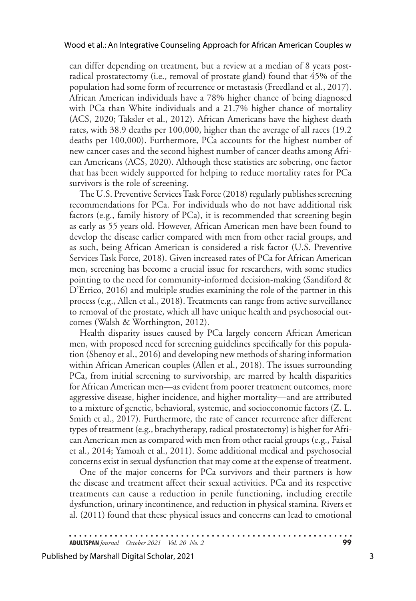can differ depending on treatment, but a review at a median of 8 years postradical prostatectomy (i.e., removal of prostate gland) found that 45% of the population had some form of recurrence or metastasis (Freedland et al., 2017). African American individuals have a 78% higher chance of being diagnosed with PCa than White individuals and a 21.7% higher chance of mortality (ACS, 2020; Taksler et al., 2012). African Americans have the highest death rates, with 38.9 deaths per 100,000, higher than the average of all races (19.2 deaths per 100,000). Furthermore, PCa accounts for the highest number of new cancer cases and the second highest number of cancer deaths among African Americans (ACS, 2020). Although these statistics are sobering, one factor that has been widely supported for helping to reduce mortality rates for PCa survivors is the role of screening.

The U.S. Preventive Services Task Force (2018) regularly publishes screening recommendations for PCa. For individuals who do not have additional risk factors (e.g., family history of PCa), it is recommended that screening begin as early as 55 years old. However, African American men have been found to develop the disease earlier compared with men from other racial groups, and as such, being African American is considered a risk factor (U.S. Preventive Services Task Force, 2018). Given increased rates of PCa for African American men, screening has become a crucial issue for researchers, with some studies pointing to the need for community-informed decision-making (Sandiford & D'Errico, 2016) and multiple studies examining the role of the partner in this process (e.g., Allen et al., 2018). Treatments can range from active surveillance to removal of the prostate, which all have unique health and psychosocial outcomes (Walsh & Worthington, 2012).

Health disparity issues caused by PCa largely concern African American men, with proposed need for screening guidelines specifically for this population (Shenoy et al., 2016) and developing new methods of sharing information within African American couples (Allen et al., 2018). The issues surrounding PCa, from initial screening to survivorship, are marred by health disparities for African American men—as evident from poorer treatment outcomes, more aggressive disease, higher incidence, and higher mortality—and are attributed to a mixture of genetic, behavioral, systemic, and socioeconomic factors (Z. L. Smith et al., 2017). Furthermore, the rate of cancer recurrence after different types of treatment (e.g., brachytherapy, radical prostatectomy) is higher for African American men as compared with men from other racial groups (e.g., Faisal et al., 2014; Yamoah et al., 2011). Some additional medical and psychosocial concerns exist in sexual dysfunction that may come at the expense of treatment.

One of the major concerns for PCa survivors and their partners is how the disease and treatment affect their sexual activities. PCa and its respective treatments can cause a reduction in penile functioning, including erectile dysfunction, urinary incontinence, and reduction in physical stamina. Rivers et al. (2011) found that these physical issues and concerns can lead to emotional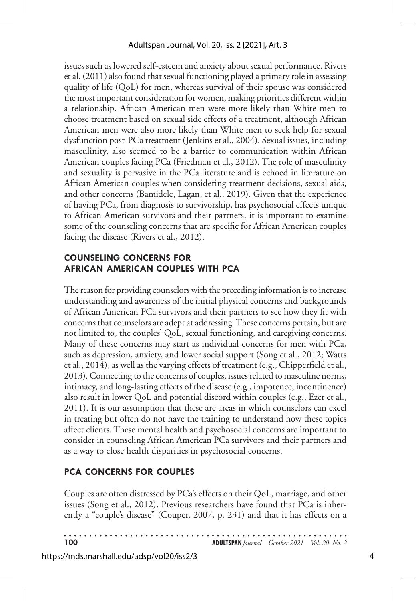issues such as lowered self-esteem and anxiety about sexual performance. Rivers et al. (2011) also found that sexual functioning played a primary role in assessing quality of life (QoL) for men, whereas survival of their spouse was considered the most important consideration for women, making priorities different within a relationship. African American men were more likely than White men to choose treatment based on sexual side effects of a treatment, although African American men were also more likely than White men to seek help for sexual dysfunction post-PCa treatment (Jenkins et al., 2004). Sexual issues, including masculinity, also seemed to be a barrier to communication within African American couples facing PCa (Friedman et al., 2012). The role of masculinity and sexuality is pervasive in the PCa literature and is echoed in literature on African American couples when considering treatment decisions, sexual aids, and other concerns (Bamidele, Lagan, et al., 2019). Given that the experience of having PCa, from diagnosis to survivorship, has psychosocial effects unique to African American survivors and their partners, it is important to examine some of the counseling concerns that are specific for African American couples facing the disease (Rivers et al., 2012).

#### **COUNSELING CONCERNS FOR AFRICAN AMERICAN COUPLES WITH PCA**

The reason for providing counselors with the preceding information is to increase understanding and awareness of the initial physical concerns and backgrounds of African American PCa survivors and their partners to see how they fit with concerns that counselors are adept at addressing. These concerns pertain, but are not limited to, the couples' QoL, sexual functioning, and caregiving concerns. Many of these concerns may start as individual concerns for men with PCa, such as depression, anxiety, and lower social support (Song et al., 2012; Watts et al., 2014), as well as the varying effects of treatment (e.g., Chipperfield et al., 2013). Connecting to the concerns of couples, issues related to masculine norms, intimacy, and long-lasting effects of the disease (e.g., impotence, incontinence) also result in lower QoL and potential discord within couples (e.g., Ezer et al., 2011). It is our assumption that these are areas in which counselors can excel in treating but often do not have the training to understand how these topics affect clients. These mental health and psychosocial concerns are important to consider in counseling African American PCa survivors and their partners and as a way to close health disparities in psychosocial concerns.

### **PCA CONCERNS FOR COUPLES**

Couples are often distressed by PCa's effects on their QoL, marriage, and other issues (Song et al., 2012). Previous researchers have found that PCa is inherently a "couple's disease" (Couper, 2007, p. 231) and that it has effects on a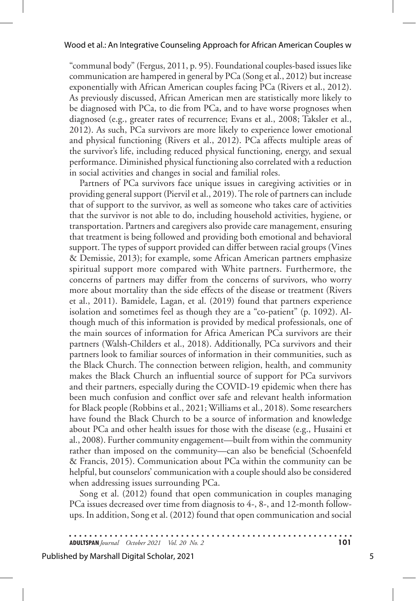"communal body" (Fergus, 2011, p. 95). Foundational couples-based issues like communication are hampered in general by PCa (Song et al., 2012) but increase exponentially with African American couples facing PCa (Rivers et al., 2012). As previously discussed, African American men are statistically more likely to be diagnosed with PCa, to die from PCa, and to have worse prognoses when diagnosed (e.g., greater rates of recurrence; Evans et al., 2008; Taksler et al., 2012). As such, PCa survivors are more likely to experience lower emotional and physical functioning (Rivers et al., 2012). PCa affects multiple areas of the survivor's life, including reduced physical functioning, energy, and sexual performance. Diminished physical functioning also correlated with a reduction in social activities and changes in social and familial roles.

Partners of PCa survivors face unique issues in caregiving activities or in providing general support (Piervil et al., 2019). The role of partners can include that of support to the survivor, as well as someone who takes care of activities that the survivor is not able to do, including household activities, hygiene, or transportation. Partners and caregivers also provide care management, ensuring that treatment is being followed and providing both emotional and behavioral support. The types of support provided can differ between racial groups (Vines & Demissie, 2013); for example, some African American partners emphasize spiritual support more compared with White partners. Furthermore, the concerns of partners may differ from the concerns of survivors, who worry more about mortality than the side effects of the disease or treatment (Rivers et al., 2011). Bamidele, Lagan, et al. (2019) found that partners experience isolation and sometimes feel as though they are a "co-patient" (p. 1092). Although much of this information is provided by medical professionals, one of the main sources of information for Africa American PCa survivors are their partners (Walsh-Childers et al., 2018). Additionally, PCa survivors and their partners look to familiar sources of information in their communities, such as the Black Church. The connection between religion, health, and community makes the Black Church an influential source of support for PCa survivors and their partners, especially during the COVID-19 epidemic when there has been much confusion and conflict over safe and relevant health information for Black people (Robbins et al., 2021; Williams et al., 2018). Some researchers have found the Black Church to be a source of information and knowledge about PCa and other health issues for those with the disease (e.g., Husaini et al., 2008). Further community engagement—built from within the community rather than imposed on the community—can also be beneficial (Schoenfeld & Francis, 2015). Communication about PCa within the community can be helpful, but counselors' communication with a couple should also be considered when addressing issues surrounding PCa.

Song et al. (2012) found that open communication in couples managing PCa issues decreased over time from diagnosis to 4-, 8-, and 12-month followups. In addition, Song et al. (2012) found that open communication and social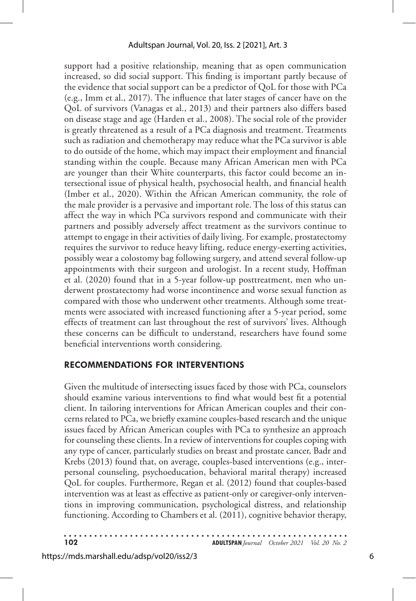support had a positive relationship, meaning that as open communication increased, so did social support. This finding is important partly because of the evidence that social support can be a predictor of QoL for those with PCa (e.g., Imm et al., 2017). The influence that later stages of cancer have on the QoL of survivors (Vanagas et al., 2013) and their partners also differs based on disease stage and age (Harden et al., 2008). The social role of the provider is greatly threatened as a result of a PCa diagnosis and treatment. Treatments such as radiation and chemotherapy may reduce what the PCa survivor is able to do outside of the home, which may impact their employment and financial standing within the couple. Because many African American men with PCa are younger than their White counterparts, this factor could become an intersectional issue of physical health, psychosocial health, and financial health (Imber et al., 2020). Within the African American community, the role of the male provider is a pervasive and important role. The loss of this status can affect the way in which PCa survivors respond and communicate with their partners and possibly adversely affect treatment as the survivors continue to attempt to engage in their activities of daily living. For example, prostatectomy requires the survivor to reduce heavy lifting, reduce energy-exerting activities, possibly wear a colostomy bag following surgery, and attend several follow-up appointments with their surgeon and urologist. In a recent study, Hoffman et al. (2020) found that in a 5-year follow-up posttreatment, men who underwent prostatectomy had worse incontinence and worse sexual function as compared with those who underwent other treatments. Although some treatments were associated with increased functioning after a 5-year period, some effects of treatment can last throughout the rest of survivors' lives. Although these concerns can be difficult to understand, researchers have found some beneficial interventions worth considering.

#### **RECOMMENDATIONS FOR INTERVENTIONS**

Given the multitude of intersecting issues faced by those with PCa, counselors should examine various interventions to find what would best fit a potential client. In tailoring interventions for African American couples and their concerns related to PCa, we briefly examine couples-based research and the unique issues faced by African American couples with PCa to synthesize an approach for counseling these clients. In a review of interventions for couples coping with any type of cancer, particularly studies on breast and prostate cancer, Badr and Krebs (2013) found that, on average, couples-based interventions (e.g., interpersonal counseling, psychoeducation, behavioral marital therapy) increased QoL for couples. Furthermore, Regan et al. (2012) found that couples-based intervention was at least as effective as patient-only or caregiver-only interventions in improving communication, psychological distress, and relationship functioning. According to Chambers et al. (2011), cognitive behavior therapy,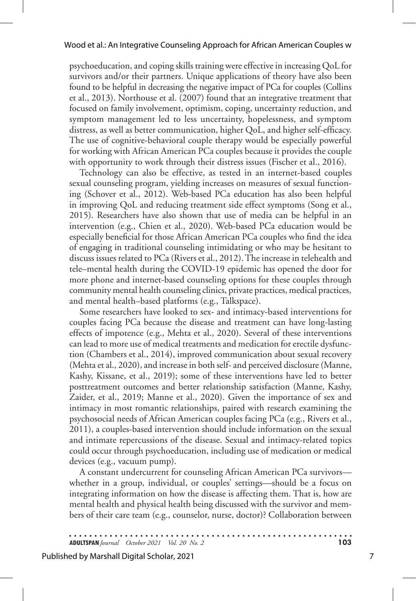psychoeducation, and coping skills training were effective in increasing QoL for survivors and/or their partners. Unique applications of theory have also been found to be helpful in decreasing the negative impact of PCa for couples (Collins et al., 2013). Northouse et al. (2007) found that an integrative treatment that focused on family involvement, optimism, coping, uncertainty reduction, and symptom management led to less uncertainty, hopelessness, and symptom distress, as well as better communication, higher QoL, and higher self-efficacy. The use of cognitive-behavioral couple therapy would be especially powerful for working with African American PCa couples because it provides the couple with opportunity to work through their distress issues (Fischer et al., 2016).

Technology can also be effective, as tested in an internet-based couples sexual counseling program, yielding increases on measures of sexual functioning (Schover et al., 2012). Web-based PCa education has also been helpful in improving QoL and reducing treatment side effect symptoms (Song et al., 2015). Researchers have also shown that use of media can be helpful in an intervention (e.g., Chien et al., 2020). Web-based PCa education would be especially beneficial for those African American PCa couples who find the idea of engaging in traditional counseling intimidating or who may be hesitant to discuss issues related to PCa (Rivers et al., 2012). The increase in telehealth and tele–mental health during the COVID-19 epidemic has opened the door for more phone and internet-based counseling options for these couples through community mental health counseling clinics, private practices, medical practices, and mental health–based platforms (e.g., Talkspace).

Some researchers have looked to sex- and intimacy-based interventions for couples facing PCa because the disease and treatment can have long-lasting effects of impotence (e.g., Mehta et al., 2020). Several of these interventions can lead to more use of medical treatments and medication for erectile dysfunction (Chambers et al., 2014), improved communication about sexual recovery (Mehta et al., 2020), and increase in both self- and perceived disclosure (Manne, Kashy, Kissane, et al., 2019); some of these interventions have led to better posttreatment outcomes and better relationship satisfaction (Manne, Kashy, Zaider, et al., 2019; Manne et al., 2020). Given the importance of sex and intimacy in most romantic relationships, paired with research examining the psychosocial needs of African American couples facing PCa (e.g., Rivers et al., 2011), a couples-based intervention should include information on the sexual and intimate repercussions of the disease. Sexual and intimacy-related topics could occur through psychoeducation, including use of medication or medical devices (e.g., vacuum pump).

A constant undercurrent for counseling African American PCa survivors whether in a group, individual, or couples' settings—should be a focus on integrating information on how the disease is affecting them. That is, how are mental health and physical health being discussed with the survivor and members of their care team (e.g., counselor, nurse, doctor)? Collaboration between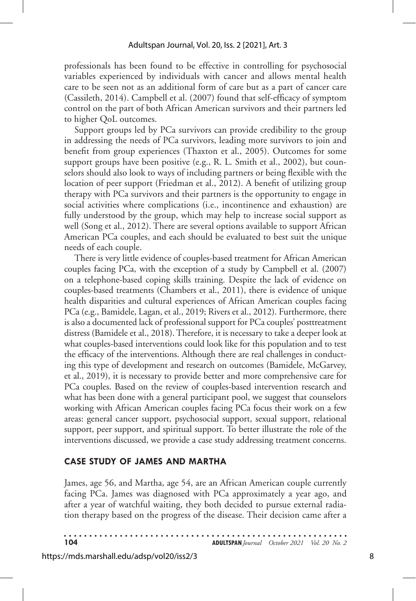professionals has been found to be effective in controlling for psychosocial variables experienced by individuals with cancer and allows mental health care to be seen not as an additional form of care but as a part of cancer care (Cassileth, 2014). Campbell et al. (2007) found that self-efficacy of symptom control on the part of both African American survivors and their partners led to higher QoL outcomes.

Support groups led by PCa survivors can provide credibility to the group in addressing the needs of PCa survivors, leading more survivors to join and benefit from group experiences (Thaxton et al., 2005). Outcomes for some support groups have been positive (e.g., R. L. Smith et al., 2002), but counselors should also look to ways of including partners or being flexible with the location of peer support (Friedman et al., 2012). A benefit of utilizing group therapy with PCa survivors and their partners is the opportunity to engage in social activities where complications (i.e., incontinence and exhaustion) are fully understood by the group, which may help to increase social support as well (Song et al., 2012). There are several options available to support African American PCa couples, and each should be evaluated to best suit the unique needs of each couple.

There is very little evidence of couples-based treatment for African American couples facing PCa, with the exception of a study by Campbell et al. (2007) on a telephone-based coping skills training. Despite the lack of evidence on couples-based treatments (Chambers et al., 2011), there is evidence of unique health disparities and cultural experiences of African American couples facing PCa (e.g., Bamidele, Lagan, et al., 2019; Rivers et al., 2012). Furthermore, there is also a documented lack of professional support for PCa couples' posttreatment distress (Bamidele et al., 2018). Therefore, it is necessary to take a deeper look at what couples-based interventions could look like for this population and to test the efficacy of the interventions. Although there are real challenges in conducting this type of development and research on outcomes (Bamidele, McGarvey, et al., 2019), it is necessary to provide better and more comprehensive care for PCa couples. Based on the review of couples-based intervention research and what has been done with a general participant pool, we suggest that counselors working with African American couples facing PCa focus their work on a few areas: general cancer support, psychosocial support, sexual support, relational support, peer support, and spiritual support. To better illustrate the role of the interventions discussed, we provide a case study addressing treatment concerns.

#### **CASE STUDY OF JAMES AND MARTHA**

James, age 56, and Martha, age 54, are an African American couple currently facing PCa. James was diagnosed with PCa approximately a year ago, and after a year of watchful waiting, they both decided to pursue external radiation therapy based on the progress of the disease. Their decision came after a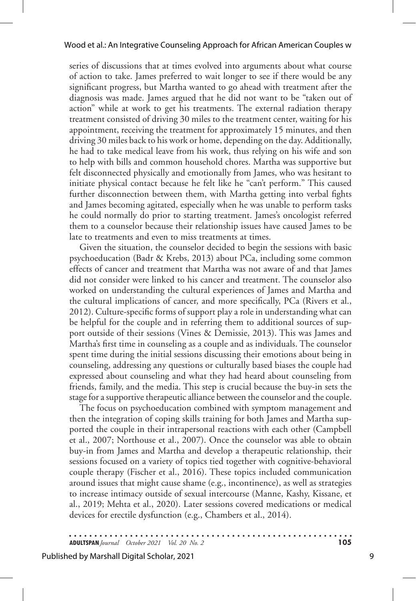series of discussions that at times evolved into arguments about what course of action to take. James preferred to wait longer to see if there would be any significant progress, but Martha wanted to go ahead with treatment after the diagnosis was made. James argued that he did not want to be "taken out of action" while at work to get his treatments. The external radiation therapy treatment consisted of driving 30 miles to the treatment center, waiting for his appointment, receiving the treatment for approximately 15 minutes, and then driving 30 miles back to his work or home, depending on the day. Additionally, he had to take medical leave from his work, thus relying on his wife and son to help with bills and common household chores. Martha was supportive but felt disconnected physically and emotionally from James, who was hesitant to initiate physical contact because he felt like he "can't perform." This caused further disconnection between them, with Martha getting into verbal fights and James becoming agitated, especially when he was unable to perform tasks he could normally do prior to starting treatment. James's oncologist referred them to a counselor because their relationship issues have caused James to be late to treatments and even to miss treatments at times.

Given the situation, the counselor decided to begin the sessions with basic psychoeducation (Badr & Krebs, 2013) about PCa, including some common effects of cancer and treatment that Martha was not aware of and that James did not consider were linked to his cancer and treatment. The counselor also worked on understanding the cultural experiences of James and Martha and the cultural implications of cancer, and more specifically, PCa (Rivers et al., 2012). Culture-specific forms of support play a role in understanding what can be helpful for the couple and in referring them to additional sources of support outside of their sessions (Vines & Demissie, 2013). This was James and Martha's first time in counseling as a couple and as individuals. The counselor spent time during the initial sessions discussing their emotions about being in counseling, addressing any questions or culturally based biases the couple had expressed about counseling and what they had heard about counseling from friends, family, and the media. This step is crucial because the buy-in sets the stage for a supportive therapeutic alliance between the counselor and the couple.

The focus on psychoeducation combined with symptom management and then the integration of coping skills training for both James and Martha supported the couple in their intrapersonal reactions with each other (Campbell et al., 2007; Northouse et al., 2007). Once the counselor was able to obtain buy-in from James and Martha and develop a therapeutic relationship, their sessions focused on a variety of topics tied together with cognitive-behavioral couple therapy (Fischer et al., 2016). These topics included communication around issues that might cause shame (e.g., incontinence), as well as strategies to increase intimacy outside of sexual intercourse (Manne, Kashy, Kissane, et al., 2019; Mehta et al., 2020). Later sessions covered medications or medical devices for erectile dysfunction (e.g., Chambers et al., 2014).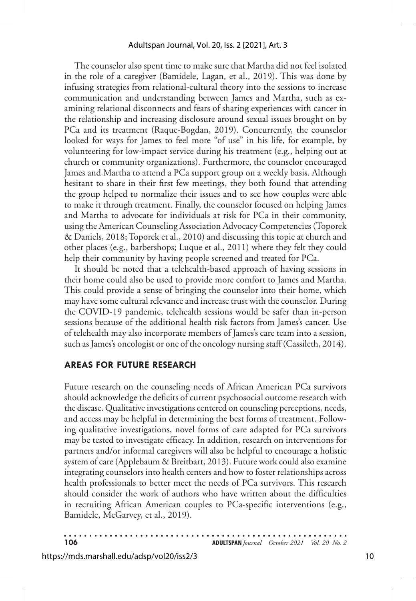The counselor also spent time to make sure that Martha did not feel isolated in the role of a caregiver (Bamidele, Lagan, et al., 2019). This was done by infusing strategies from relational-cultural theory into the sessions to increase communication and understanding between James and Martha, such as examining relational disconnects and fears of sharing experiences with cancer in the relationship and increasing disclosure around sexual issues brought on by PCa and its treatment (Raque-Bogdan, 2019). Concurrently, the counselor looked for ways for James to feel more "of use" in his life, for example, by volunteering for low-impact service during his treatment (e.g., helping out at church or community organizations). Furthermore, the counselor encouraged James and Martha to attend a PCa support group on a weekly basis. Although hesitant to share in their first few meetings, they both found that attending the group helped to normalize their issues and to see how couples were able to make it through treatment. Finally, the counselor focused on helping James and Martha to advocate for individuals at risk for PCa in their community, using the American Counseling Association Advocacy Competencies (Toporek & Daniels, 2018; Toporek et al., 2010) and discussing this topic at church and other places (e.g., barbershops; Luque et al., 2011) where they felt they could help their community by having people screened and treated for PCa.

It should be noted that a telehealth-based approach of having sessions in their home could also be used to provide more comfort to James and Martha. This could provide a sense of bringing the counselor into their home, which may have some cultural relevance and increase trust with the counselor. During the COVID-19 pandemic, telehealth sessions would be safer than in-person sessions because of the additional health risk factors from James's cancer. Use of telehealth may also incorporate members of James's care team into a session, such as James's oncologist or one of the oncology nursing staff (Cassileth, 2014).

#### **AREAS FOR FUTURE RESEARCH**

Future research on the counseling needs of African American PCa survivors should acknowledge the deficits of current psychosocial outcome research with the disease. Qualitative investigations centered on counseling perceptions, needs, and access may be helpful in determining the best forms of treatment. Following qualitative investigations, novel forms of care adapted for PCa survivors may be tested to investigate efficacy. In addition, research on interventions for partners and/or informal caregivers will also be helpful to encourage a holistic system of care (Applebaum & Breitbart, 2013). Future work could also examine integrating counselors into health centers and how to foster relationships across health professionals to better meet the needs of PCa survivors. This research should consider the work of authors who have written about the difficulties in recruiting African American couples to PCa-specific interventions (e.g., Bamidele, McGarvey, et al., 2019).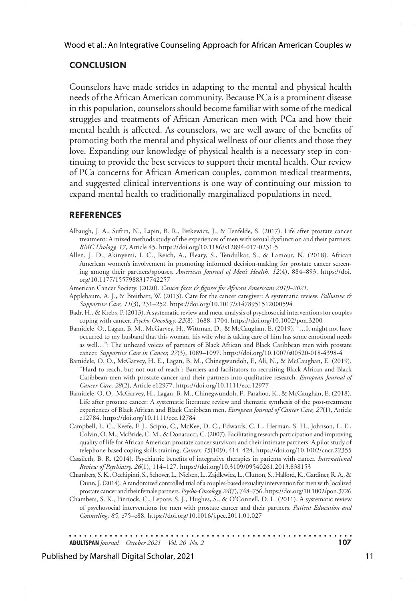#### **CONCLUSION**

Counselors have made strides in adapting to the mental and physical health needs of the African American community. Because PCa is a prominent disease in this population, counselors should become familiar with some of the medical struggles and treatments of African American men with PCa and how their mental health is affected. As counselors, we are well aware of the benefits of promoting both the mental and physical wellness of our clients and those they love. Expanding our knowledge of physical health is a necessary step in continuing to provide the best services to support their mental health. Our review of PCa concerns for African American couples, common medical treatments, and suggested clinical interventions is one way of continuing our mission to expand mental health to traditionally marginalized populations in need.

#### **REFERENCES**

- Albaugh, J. A., Sufrin, N., Lapin, B. R., Petkewicz, J., & Tenfelde, S. (2017). Life after prostate cancer treatment: A mixed methods study of the experiences of men with sexual dysfunction and their partners. *BMC Urology, 17*, Article 45. https://doi.org/10.1186/s12894-017-0231-5
- Allen, J. D., Akinyemi, I. C., Reich, A., Fleary, S., Tendulkar, S., & Lamour, N. (2018). African American women's involvement in promoting informed decision-making for prostate cancer screening among their partners/spouses. *American Journal of Men's Health, 12*(4), 884–893. https://doi. org/10.1177/1557988317742257
- American Cancer Society. (2020). *Cancer facts & figures for African Americans 2019–2021.*
- Applebaum, A. J., & Breitbart, W. (2013). Care for the cancer caregiver: A systematic review. *Palliative & Supportive Care, 11*(3), 231–252. https://doi.org/10.1017/s1478951512000594
- Badr, H., & Krebs, P. (2013). A systematic review and meta-analysis of psychosocial interventions for couples coping with cancer. *Psycho-Oncology, 22*(8), 1688–1704. https://doi.org/10.1002/pon.3200
- Bamidele, O., Lagan, B. M., McGarvey, H., Wittman, D., & McCaughan, E. (2019). "…It might not have occurred to my husband that this woman, his wife who is taking care of him has some emotional needs as well…": The unheard voices of partners of Black African and Black Caribbean men with prostate cancer. *Supportive Care in Cancer, 27*(3), 1089–1097. https://doi.org/10.1007/s00520-018-4398-4
- Bamidele, O. O., McGarvey, H. E., Lagan, B. M., Chinegwundoh, F., Ali, N., & McCaughan, E. (2019). "Hard to reach, but not out of reach": Barriers and facilitators to recruiting Black African and Black Caribbean men with prostate cancer and their partners into qualitative research. *European Journal of Cancer Care, 28*(2), Article e12977. https://doi.org/10.1111/ecc.12977
- Bamidele, O. O., McGarvey, H., Lagan, B. M., Chinegwundoh, F., Parahoo, K., & McCaughan, E. (2018). Life after prostate cancer: A systematic literature review and thematic synthesis of the post-treatment experiences of Black African and Black Caribbean men. *European Journal of Cancer Care, 27*(1), Article e12784. https://doi.org/10.1111/ecc.12784
- Campbell, L. C., Keefe, F. J., Scipio, C., McKee, D. C., Edwards, C. L., Herman, S. H., Johnson, L. E., Colvin, O. M., McBride, C. M., & Donatucci, C. (2007). Facilitating research participation and improving quality of life for African American prostate cancer survivors and their intimate partners: A pilot study of telephone-based coping skills training. *Cancer, 15*(109), 414–424. https://doi.org/10.1002/cncr.22355
- Cassileth, B. R. (2014). Psychiatric benefits of integrative therapies in patients with cancer. *International Review of Psychiatry, 26*(1), 114–127. https://doi.org/10.3109/09540261.2013.838153
- Chambers, S. K., Occhipinti, S., Schover, L., Nielsen, L., Zajdlewicz, L., Clutton, S., Halford, K., Gardiner, R. A., & Dunn, J. (2014). A randomized controlled trial of a couples-based sexuality intervention for men with localized prostate cancer and their female partners. *Psycho-Oncology, 24*(7), 748–756. https://doi.org/10.1002/pon.3726
- Chambers, S. K., Pinnock, C., Lepore, S. J., Hughes, S., & O'Connell, D. L. (2011). A systematic review of psychosocial interventions for men with prostate cancer and their partners. *Patient Education and Counseling, 85*, e75–e88. https://doi.org/10.1016/j.pec.2011.01.027

. . . . . . . . . . . . . . . . . . **ADULTSPAN***Journal October 2021 Vol. 20 No. 2* **107**

#### Published by Marshall Digital Scholar, 2021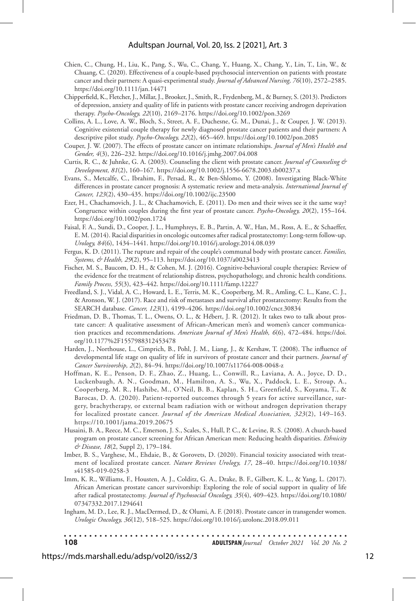#### Adultspan Journal, Vol. 20, Iss. 2 [2021], Art. 3

- Chien, C., Chung, H., Liu, K., Pang, S., Wu, C., Chang, Y., Huang, X., Chang, Y., Lin, T., Lin, W., & Chuang, C. (2020). Effectiveness of a couple-based psychosocial intervention on patients with prostate cancer and their partners: A quasi-experimental study. *Journal of Advanced Nursing, 76*(10), 2572–2585. https://doi.org/10.1111/jan.14471
- Chipperfield, K., Fletcher, J., Millar, J., Brooker, J., Smith, R., Frydenberg, M., & Burney, S. (2013). Predictors of depression, anxiety and quality of life in patients with prostate cancer receiving androgen deprivation therapy. *Psycho-Oncology, 22*(10), 2169–2176. https://doi.org/10.1002/pon.3269
- Collins, A. L., Love, A. W., Bloch, S., Street, A. F., Duchesne, G. M., Dunai, J., & Couper, J. W. (2013). Cognitive existential couple therapy for newly diagnosed prostate cancer patients and their partners: A descriptive pilot study. *Psycho-Oncology, 22*(2), 465–469. https://doi.org/10.1002/pon.2085
- Couper, J. W. (2007). The effects of prostate cancer on intimate relationships. *Journal of Men's Health and Gender, 4*(3), 226–232. https://doi.org/10.1016/j.jmhg.2007.04.008
- Curtis, R. C., & Juhnke, G. A. (2003). Counseling the client with prostate cancer. *Journal of Counseling & Development, 81*(2), 160–167. https://doi.org/10.1002/j.1556-6678.2003.tb00237.x
- Evans, S., Metcalfe, C., Ibrahim, F., Persad, R., & Ben-Shlomo, Y. (2008). Investigating Black-White differences in prostate cancer prognosis: A systematic review and meta-analysis. *International Journal of Cancer, 123*(2), 430–435. https://doi.org/10.1002/ijc.23500
- Ezer, H., Chachamovich, J. L., & Chachamovich, E. (2011). Do men and their wives see it the same way? Congruence within couples during the first year of prostate cancer. *Psycho-Oncology, 20*(2), 155–164. https://doi.org/10.1002/pon.1724
- Faisal, F. A., Sundi, D., Cooper, J. L., Humphreys, E. B., Partin, A. W., Han, M., Ross, A. E., & Schaeffer, E. M. (2014). Racial disparities in oncologic outcomes after radical prostatectomy: Long-term follow-up. *Urology, 84*(6), 1434–1441. https://doi.org/10.1016/j.urology.2014.08.039
- Fergus, K. D. (2011). The rupture and repair of the couple's communal body with prostate cancer. *Families, Systems, & Health, 29*(2), 95–113. https://doi.org/10.1037/a0023413
- Fischer, M. S., Baucom, D. H., & Cohen, M. J. (2016). Cognitive-behavioral couple therapies: Review of the evidence for the treatment of relationship distress, psychopathology, and chronic health conditions. *Family Process, 55*(3), 423–442. https://doi.org/10.1111/famp.12227
- Freedland, S. J., Vidal, A. C., Howard, L. E., Terris, M. K., Cooperberg, M. R., Amling, C. L., Kane, C. J., & Aronson, W. J. (2017). Race and risk of metastases and survival after prostatectomy: Results from the SEARCH database. *Cancer, 123*(1), 4199–4206. https://doi.org/10.1002/cncr.30834
- Friedman, D. B., Thomas, T. L., Owens, O. L., & Hébert, J. R. (2012). It takes two to talk about prostate cancer: A qualitative assessment of African-American men's and women's cancer communication practices and recommendations. *American Journal of Men's Health, 6*(6), 472–484. https://doi. org/10.1177%2F1557988312453478
- Harden, J., Northouse, L., Cimprich, B., Pohl, J. M., Liang, J., & Kershaw, T. (2008). The influence of developmental life stage on quality of life in survivors of prostate cancer and their partners. *Journal of Cancer Survivorship, 2*(2), 84–94. https://doi.org/10.1007/s11764-008-0048-z
- Hoffman, K. E., Penson, D. F., Zhao, Z., Huang, L., Conwill, R., Laviana, A. A., Joyce, D. D., Luckenbaugh, A. N., Goodman, M., Hamilton, A. S., Wu, X., Paddock, L. E., Stroup, A., Cooperberg, M. R., Hashibe, M., O'Neil, B. B., Kaplan, S. H., Greenfield, S., Koyama, T., & Barocas, D. A. (2020). Patient-reported outcomes through 5 years for active surveillance, surgery, brachytherapy, or external beam radiation with or without androgen deprivation therapy for localized prostate cancer. *Journal of the American Medical Association, 323*(2), 149–163. https://10.1001/jama.2019.20675
- Husaini, B. A., Reece, M. C., Emerson, J. S., Scales, S., Hull, P. C., & Levine, R. S. (2008). A church-based program on prostate cancer screening for African American men: Reducing health disparities. *Ethnicity & Disease, 18*(2, Suppl 2), 179–184.
- Imber, B. S., Varghese, M., Ehdaie, B., & Gorovets, D. (2020). Financial toxicity associated with treatment of localized prostate cancer. *Nature Reviews Urology, 17*, 28–40. https://doi.org/10.1038/ s41585-019-0258-3
- Imm, K. R., Williams, F., Housten, A. J., Colditz, G. A., Drake, B. F., Gilbert, K. L., & Yang, L. (2017). African American prostate cancer survivorship: Exploring the role of social support in quality of life after radical prostatectomy. *Journal of Psychosocial Oncology, 35*(4), 409–423. https://doi.org/10.1080/ 07347332.2017.1294641
- Ingham, M. D., Lee, R. J., MacDermed, D., & Olumi, A. F. (2018). Prostate cancer in transgender women. *Urologic Oncology, 36*(12), 518–525. https://doi.org/10.1016/j.urolonc.2018.09.011

| 108 | <b>ADULTSPAN</b> Journal October 2021 Vol. 20 No. 2 |  |
|-----|-----------------------------------------------------|--|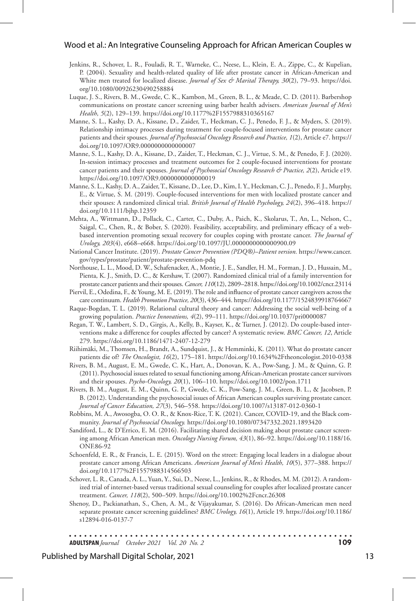#### Wood et al.: An Integrative Counseling Approach for African American Couples w

- Jenkins, R., Schover, L. R., Fouladi, R. T., Warneke, C., Neese, L., Klein, E. A., Zippe, C., & Kupelian, P. (2004). Sexuality and health-related quality of life after prostate cancer in African-American and White men treated for localized disease. *Journal of Sex & Marital Therapy, 30*(2), 79–93. https://doi. org/10.1080/00926230490258884
- Luque, J. S., Rivers, B. M., Gwede, C. K., Kambon, M., Green, B. L., & Meade, C. D. (2011). Barbershop communications on prostate cancer screening using barber health advisers. *American Journal of Men's Health, 5*(2), 129–139. https://doi.org/10.1177%2F1557988310365167
- Manne, S. L., Kashy, D. A., Kissane, D., Zaider, T., Heckman, C. J., Penedo, F. J., & Myders, S. (2019). Relationship intimacy processes during treatment for couple-focused interventions for prostate cancer patients and their spouses. *Journal of Psychosocial Oncology Research and Practice, 1*(2), Article e7. https:// doi.org/10.1097/OR9.0000000000000007
- Manne, S. L., Kashy, D. A., Kissane, D., Zaider, T., Heckman, C. J., Virtue, S. M., & Penedo, F. J. (2020). In-session intimacy processes and treatment outcomes for 2 couple-focused interventions for prostate cancer patients and their spouses. *Journal of Psychosocial Oncology Research & Practice, 2*(2), Article e19. https://doi.org/10.1097/OR9.0000000000000019
- Manne, S. L., Kashy, D. A., Zaider, T., Kissane, D., Lee, D., Kim, I. Y., Heckman, C. J., Penedo, F. J., Murphy, E., & Virtue, S. M. (2019). Couple-focused interventions for men with localized prostate cancer and their spouses: A randomized clinical trial. *British Journal of Health Psychology, 24*(2), 396–418. https:// doi.org/10.1111/bjhp.12359
- Mehta, A., Wittmann, D., Pollack, C., Carter, C., Duby, A., Paich, K., Skolarus, T., An, L., Nelson, C., Saigal, C., Chen, R., & Bober, S. (2020). Feasibility, acceptability, and preliminary efficacy of a webbased intervention promoting sexual recovery for couples coping with prostate cancer. *The Journal of Urology, 203*(4), e668–e668. https://doi.org/10.1097/JU.0000000000000900.09
- National Cancer Institute. (2019). *Prostate Cancer Prevention (PDQ®)–Patient version.* https://www.cancer. gov/types/prostate/patient/prostate-prevention-pdq
- Northouse, L. L., Mood, D. W., Schafenacker, A., Montie, J. E., Sandler, H. M., Forman, J. D., Hussain, M., Pienta, K. J., Smith, D. C., & Kershaw, T. (2007). Randomized clinical trial of a family intervention for prostate cancer patients and their spouses. *Cancer, 110*(12), 2809–2818. https://doi.org/10.1002/cncr.23114
- Piervil, E., Odedina, F., & Young, M. E. (2019). The role and influence of prostate cancer caregivers across the care continuum. *Health Promotion Practice, 20*(3), 436–444. https://doi.org/10.1177/1524839918764667
- Raque-Bogdan, T. L. (2019). Relational cultural theory and cancer: Addressing the social well-being of a growing population. *Practice Innovations, 4*(2), 99–111. https://doi.org/10.1037/pri0000087
- Regan, T. W., Lambert, S. D., Girgis, A., Kelly, B., Kayser, K., & Turner, J. (2012). Do couple-based interventions make a difference for couples affected by cancer? A systematic review. *BMC Cancer, 12*, Article 279. https://doi.org/10.1186/1471-2407-12-279
- Riihimäki, M., Thomsen, H., Brandt, A., Sundquist, J., & Hemminki, K. (2011). What do prostate cancer patients die of? *The Oncologist, 16*(2), 175–181. https://doi.org/10.1634%2Ftheoncologist.2010-0338
- Rivers, B. M., August, E. M., Gwede, C. K., Hart, A., Donovan, K. A., Pow-Sang, J. M., & Quinn, G. P. (2011). Psychosocial issues related to sexual functioning among African-American prostate cancer survivors and their spouses. *Psycho-Oncology, 20*(1), 106–110. https://doi.org/10.1002/pon.1711
- Rivers, B. M., August, E. M., Quinn, G. P., Gwede, C. K., Pow-Sang, J. M., Green, B. L., & Jacobsen, P. B. (2012). Understanding the psychosocial issues of African American couples surviving prostate cancer. *Journal of Cancer Education, 27*(3), 546–558. https://doi.org/10.1007/s13187-012-0360-1
- Robbins, M. A., Awosogba, O. O. R., & Knox-Rice, T. K. (2021). Cancer, COVID-19, and the Black community. *Journal of Psychosocial Oncology.* https://doi.org/10.1080/07347332.2021.1893420
- Sandiford, L., & D'Errico, E. M. (2016). Facilitating shared decision making about prostate cancer screening among African American men. *Oncology Nursing Forum, 43*(1), 86–92. https://doi.org/10.1188/16. ONF.86-92
- Schoenfeld, E. R., & Francis, L. E. (2015). Word on the street: Engaging local leaders in a dialogue about prostate cancer among African Americans. *American Journal of Men's Health, 10*(5), 377–388. https:// doi.org/10.1177%2F1557988314566503
- Schover, L. R., Canada, A. L., Yuan, Y., Sui, D., Neese, L., Jenkins, R., & Rhodes, M. M. (2012). A randomized trial of internet-based versus traditional sexual counseling for couples after localized prostate cancer treatment. *Cancer, 118*(2), 500–509. https://doi.org/10.1002%2Fcncr.26308
- Shenoy, D., Packianathan, S., Chen, A. M., & Vijayakumar, S. (2016). Do African-American men need separate prostate cancer screening guidelines? *BMC Urology, 16*(1), Article 19. https://doi.org/10.1186/ s12894-016-0137-7

**ADULTSPAN***Journal October 2021 Vol. 20 No. 2* **109**

#### Published by Marshall Digital Scholar, 2021